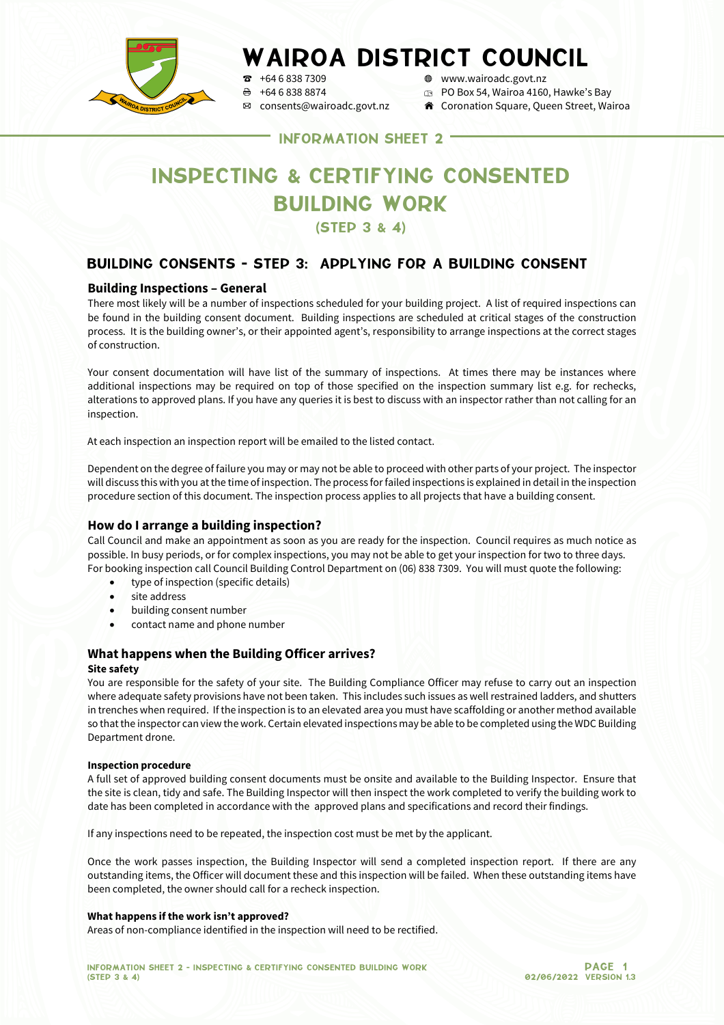

# WAIROA DISTRICT COUNCIL

 $\frac{1}{2}$  +64 6 838 7309  $\frac{1}{2}$  +64 6 838 8874  $\frac{1}{2}$  +64 6 838 8874  $\frac{1}{2}$  +64 6 838 8874  $\Theta$  +64 6 838 8874 **p** PO Box 54, Wairoa 4160, Hawke's Bay<br> **EX** consents@wairoadc.govt.nz **A** Coronation Square, Queen Street, Wai

- 
- $\hat{\mathbf{r}}$  Coronation Square, Queen Street, Wairoa

INFORMATION SHEET 2

## INSPECTING & CERTIFYING CONSENTED BUILDING WORK

(STEP 3 & 4)

## BUILDING CONSENTS - STEP 3: APPLYING FOR A BUILDING CONSENT

## **Building Inspections – General**

There most likely will be a number of inspections scheduled for your building project. A list of required inspections can be found in the building consent document. Building inspections are scheduled at critical stages of the construction process. It is the building owner's, or their appointed agent's, responsibility to arrange inspections at the correct stages of construction.

Your consent documentation will have list of the summary of inspections. At times there may be instances where additional inspections may be required on top of those specified on the inspection summary list e.g. for rechecks, alterations to approved plans. If you have any queries it is best to discuss with an inspector rather than not calling for an inspection.

At each inspection an inspection report will be emailed to the listed contact.

Dependent on the degree of failure you may or may not be able to proceed with other parts of your project. The inspector will discuss this with you at the time of inspection. The process for failed inspections is explained in detail in the inspection procedure section of this document. The inspection process applies to all projects that have a building consent.

## **How do I arrange a building inspection?**

Call Council and make an appointment as soon as you are ready for the inspection. Council requires as much notice as possible. In busy periods, or for complex inspections, you may not be able to get your inspection for two to three days. For booking inspection call Council Building Control Department on (06) 838 7309. You will must quote the following:

- type of inspection (specific details)
- site address
- building consent number
- contact name and phone number

#### **What happens when the Building Officer arrives?**

#### **Site safety**

You are responsible for the safety of your site. The Building Compliance Officer may refuse to carry out an inspection where adequate safety provisions have not been taken. This includes such issues as well restrained ladders, and shutters in trenches when required. If the inspection is to an elevated area you must have scaffolding or another method available so that the inspector can view the work. Certain elevated inspections may be able to be completed using the WDC Building Department drone.

#### **Inspection procedure**

A full set of approved building consent documents must be onsite and available to the Building Inspector. Ensure that the site is clean, tidy and safe. The Building Inspector will then inspect the work completed to verify the building work to date has been completed in accordance with the approved plans and specifications and record their findings.

If any inspections need to be repeated, the inspection cost must be met by the applicant.

Once the work passes inspection, the Building Inspector will send a completed inspection report. If there are any outstanding items, the Officer will document these and this inspection will be failed. When these outstanding items have been completed, the owner should call for a recheck inspection.

#### **What happens if the work isn't approved?**

Areas of non-compliance identified in the inspection will need to be rectified.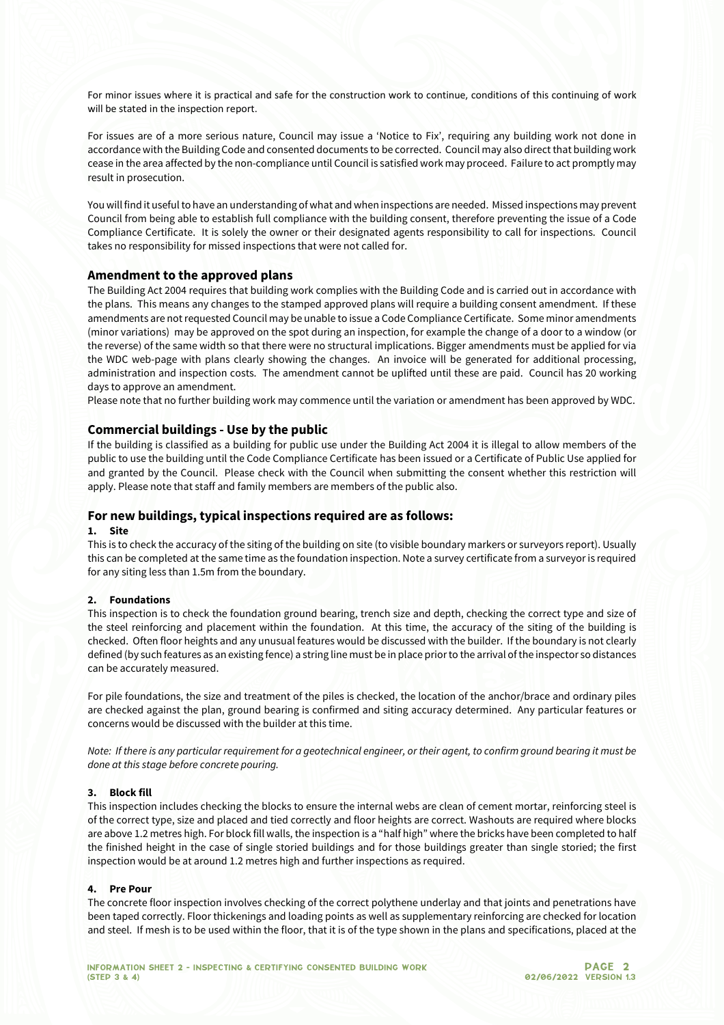For minor issues where it is practical and safe for the construction work to continue, conditions of this continuing of work will be stated in the inspection report.

For issues are of a more serious nature, Council may issue a 'Notice to Fix', requiring any building work not done in accordance with the Building Code and consented documents to be corrected. Council may also direct that building work cease in the area affected by the non-compliance until Council is satisfied work may proceed. Failure to act promptly may result in prosecution.

You will find it useful to have an understanding of what and when inspections are needed. Missed inspections may prevent Council from being able to establish full compliance with the building consent, therefore preventing the issue of a Code Compliance Certificate. It is solely the owner or their designated agents responsibility to call for inspections. Council takes no responsibility for missed inspections that were not called for.

#### **Amendment to the approved plans**

The Building Act 2004 requires that building work complies with the Building Code and is carried out in accordance with the plans. This means any changes to the stamped approved plans will require a building consent amendment. If these amendments are not requested Council may be unable to issue a Code Compliance Certificate. Some minor amendments (minor variations) may be approved on the spot during an inspection, for example the change of a door to a window (or the reverse) of the same width so that there were no structural implications. Bigger amendments must be applied for via the WDC web-page with plans clearly showing the changes. An invoice will be generated for additional processing, administration and inspection costs. The amendment cannot be uplifted until these are paid. Council has 20 working days to approve an amendment.

Please note that no further building work may commence until the variation or amendment has been approved by WDC.

#### **Commercial buildings - Use by the public**

If the building is classified as a building for public use under the Building Act 2004 it is illegal to allow members of the public to use the building until the Code Compliance Certificate has been issued or a Certificate of Public Use applied for and granted by the Council. Please check with the Council when submitting the consent whether this restriction will apply. Please note that staff and family members are members of the public also.

#### **For new buildings, typical inspections required are as follows:**

#### **1. Site**

This is to check the accuracy of the siting of the building on site (to visible boundary markers or surveyors report). Usually this can be completed at the same time as the foundation inspection. Note a survey certificate from a surveyor is required for any siting less than 1.5m from the boundary.

#### **2. Foundations**

This inspection is to check the foundation ground bearing, trench size and depth, checking the correct type and size of the steel reinforcing and placement within the foundation. At this time, the accuracy of the siting of the building is checked. Often floor heights and any unusual features would be discussed with the builder. If the boundary is not clearly defined (by such features as an existing fence) a string line must be in place prior to the arrival of the inspector so distances can be accurately measured.

For pile foundations, the size and treatment of the piles is checked, the location of the anchor/brace and ordinary piles are checked against the plan, ground bearing is confirmed and siting accuracy determined. Any particular features or concerns would be discussed with the builder at this time.

*Note: If there is any particular requirement for a geotechnical engineer, or their agent, to confirm ground bearing it must be done at this stage before concrete pouring.*

#### **3. Block fill**

This inspection includes checking the blocks to ensure the internal webs are clean of cement mortar, reinforcing steel is of the correct type, size and placed and tied correctly and floor heights are correct. Washouts are required where blocks are above 1.2 metres high. For block fill walls, the inspection is a "half high" where the bricks have been completed to half the finished height in the case of single storied buildings and for those buildings greater than single storied; the first inspection would be at around 1.2 metres high and further inspections as required.

#### **4. Pre Pour**

The concrete floor inspection involves checking of the correct polythene underlay and that joints and penetrations have been taped correctly. Floor thickenings and loading points as well as supplementary reinforcing are checked for location and steel. If mesh is to be used within the floor, that it is of the type shown in the plans and specifications, placed at the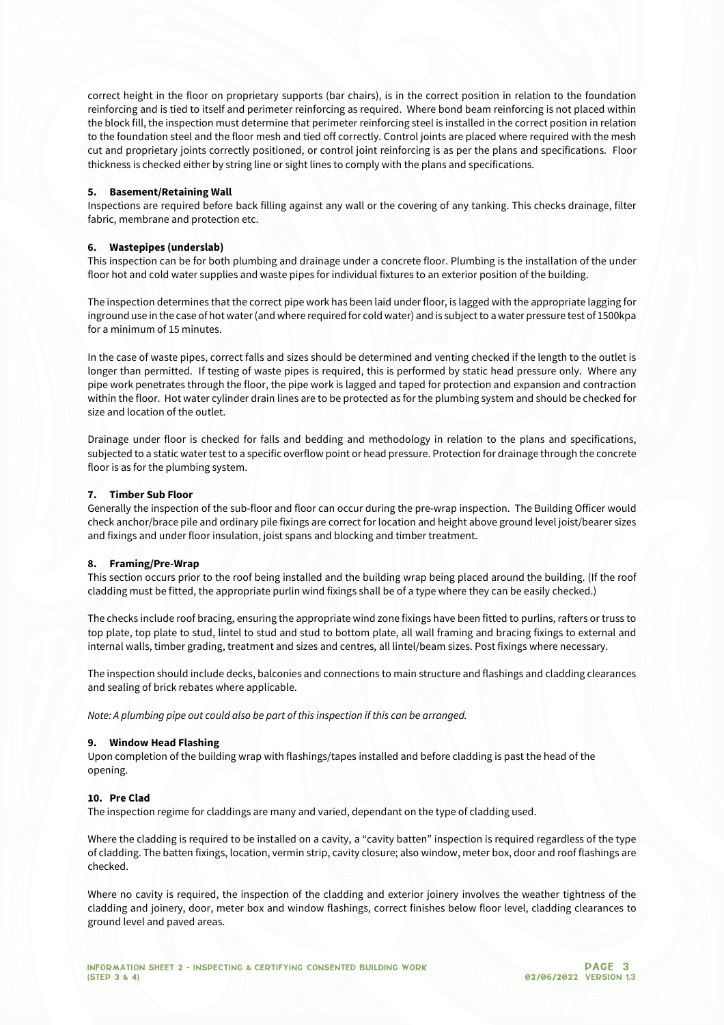correct height in the floor on proprietary supports (bar chairs), is in the correct position in relation to the foundation reinforcing and is tied to itself and perimeter reinforcing as required. Where bond beam reinforcing is not placed within the block fill, the inspection must determine that perimeter reinforcing steel is installed in the correct position in relation to the foundation steel and the floor mesh and tied off correctly. Control joints are placed where required with the mesh cut and proprietary joints correctly positioned, or control joint reinforcing is as per the plans and specifications. Floor thickness is checked either by string line or sight lines to comply with the plans and specifications.

#### **5. Basement/Retaining Wall**

Inspections are required before back filling against any wall or the covering of any tanking. This checks drainage, filter fabric, membrane and protection etc.

#### **6. Wastepipes (underslab)**

This inspection can be for both plumbing and drainage under a concrete floor. Plumbing is the installation of the under floor hot and cold water supplies and waste pipes for individual fixtures to an exterior position of the building.

The inspection determines that the correct pipe work has been laid under floor, is lagged with the appropriate lagging for inground use in the case of hot water (and where required for cold water) and is subject to a water pressure test of 1500kpa for a minimum of 15 minutes.

In the case of waste pipes, correct falls and sizes should be determined and venting checked if the length to the outlet is longer than permitted. If testing of waste pipes is required, this is performed by static head pressure only. Where any pipe work penetrates through the floor, the pipe work is lagged and taped for protection and expansion and contraction within the floor. Hot water cylinder drain lines are to be protected as for the plumbing system and should be checked for size and location of the outlet.

Drainage under floor is checked for falls and bedding and methodology in relation to the plans and specifications, subjected to a static water test to a specific overflow point or head pressure. Protection for drainage through the concrete floor is as for the plumbing system.

#### **7. Timber Sub Floor**

Generally the inspection of the sub-floor and floor can occur during the pre-wrap inspection. The Building Officer would check anchor/brace pile and ordinary pile fixings are correct for location and height above ground level joist/bearer sizes and fixings and under floor insulation, joist spans and blocking and timber treatment.

#### **8. Framing/Pre-Wrap**

This section occurs prior to the roof being installed and the building wrap being placed around the building. (If the roof cladding must be fitted, the appropriate purlin wind fixings shall be of a type where they can be easily checked.)

The checks include roof bracing, ensuring the appropriate wind zone fixings have been fitted to purlins, rafters or truss to top plate, top plate to stud, lintel to stud and stud to bottom plate, all wall framing and bracing fixings to external and internal walls, timber grading, treatment and sizes and centres, all lintel/beam sizes. Post fixings where necessary.

The inspection should include decks, balconies and connections to main structure and flashings and cladding clearances and sealing of brick rebates where applicable.

*Note: A plumbing pipe out could also be part of this inspection if this can be arranged.*

#### **9. Window Head Flashing**

Upon completion of the building wrap with flashings/tapes installed and before cladding is past the head of the opening.

#### **10. Pre Clad**

The inspection regime for claddings are many and varied, dependant on the type of cladding used.

Where the cladding is required to be installed on a cavity, a "cavity batten" inspection is required regardless of the type of cladding. The batten fixings, location, vermin strip, cavity closure; also window, meter box, door and roof flashings are checked.

Where no cavity is required, the inspection of the cladding and exterior joinery involves the weather tightness of the cladding and joinery, door, meter box and window flashings, correct finishes below floor level, cladding clearances to ground level and paved areas.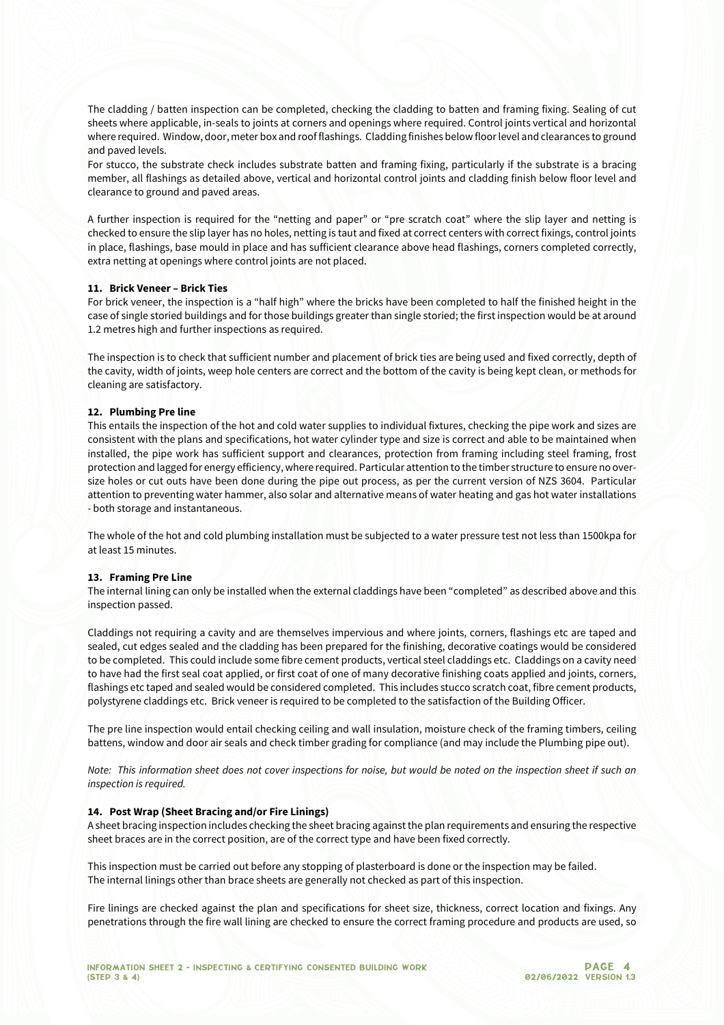The cladding / batten inspection can be completed, checking the cladding to batten and framing fixing. Sealing of cut sheets where applicable, in-seals to joints at corners and openings where required. Control joints vertical and horizontal where required. Window, door, meter box and roof flashings. Cladding finishes below floor level and clearances to ground and paved levels.

For stucco, the substrate check includes substrate batten and framing fixing, particularly if the substrate is a bracing member, all flashings as detailed above, vertical and horizontal control joints and cladding finish below floor level and clearance to ground and paved areas.

A further inspection is required for the "netting and paper" or "pre scratch coat" where the slip layer and netting is checked to ensure the slip layer has no holes, netting is taut and fixed at correct centers with correct fixings, control joints in place, flashings, base mould in place and has sufficient clearance above head flashings, corners completed correctly, extra netting at openings where control joints are not placed.

#### **11. Brick Veneer – Brick Ties**

For brick veneer, the inspection is a "half high" where the bricks have been completed to half the finished height in the case of single storied buildings and for those buildings greater than single storied; the first inspection would be at around 1.2 metres high and further inspections as required.

The inspection is to check that sufficient number and placement of brick ties are being used and fixed correctly, depth of the cavity, width of joints, weep hole centers are correct and the bottom of the cavity is being kept clean, or methods for cleaning are satisfactory.

#### **12. Plumbing Pre line**

This entails the inspection of the hot and cold water supplies to individual fixtures, checking the pipe work and sizes are consistent with the plans and specifications, hot water cylinder type and size is correct and able to be maintained when installed, the pipe work has sufficient support and clearances, protection from framing including steel framing, frost protection and lagged for energy efficiency, where required. Particular attention to the timber structure to ensure no oversize holes or cut outs have been done during the pipe out process, as per the current version of NZS 3604. Particular attention to preventing water hammer, also solar and alternative means of water heating and gas hot water installations - both storage and instantaneous.

The whole of the hot and cold plumbing installation must be subjected to a water pressure test not less than 1500kpa for at least 15 minutes.

#### **13. Framing Pre Line**

The internal lining can only be installed when the external claddings have been "completed" as described above and this inspection passed.

Claddings not requiring a cavity and are themselves impervious and where joints, corners, flashings etc are taped and sealed, cut edges sealed and the cladding has been prepared for the finishing, decorative coatings would be considered to be completed. This could include some fibre cement products, vertical steel claddings etc. Claddings on a cavity need to have had the first seal coat applied, or first coat of one of many decorative finishing coats applied and joints, corners, flashings etc taped and sealed would be considered completed. This includes stucco scratch coat, fibre cement products, polystyrene claddings etc. Brick veneer is required to be completed to the satisfaction of the Building Officer.

The pre line inspection would entail checking ceiling and wall insulation, moisture check of the framing timbers, ceiling battens, window and door air seals and check timber grading for compliance (and may include the Plumbing pipe out).

*Note: This information sheet does not cover inspections for noise, but would be noted on the inspection sheet if such an inspection is required.*

#### **14. Post Wrap (Sheet Bracing and/or Fire Linings)**

A sheet bracing inspection includes checking the sheet bracing against the plan requirements and ensuring the respective sheet braces are in the correct position, are of the correct type and have been fixed correctly.

This inspection must be carried out before any stopping of plasterboard is done or the inspection may be failed. The internal linings other than brace sheets are generally not checked as part of this inspection.

Fire linings are checked against the plan and specifications for sheet size, thickness, correct location and fixings. Any penetrations through the fire wall lining are checked to ensure the correct framing procedure and products are used, so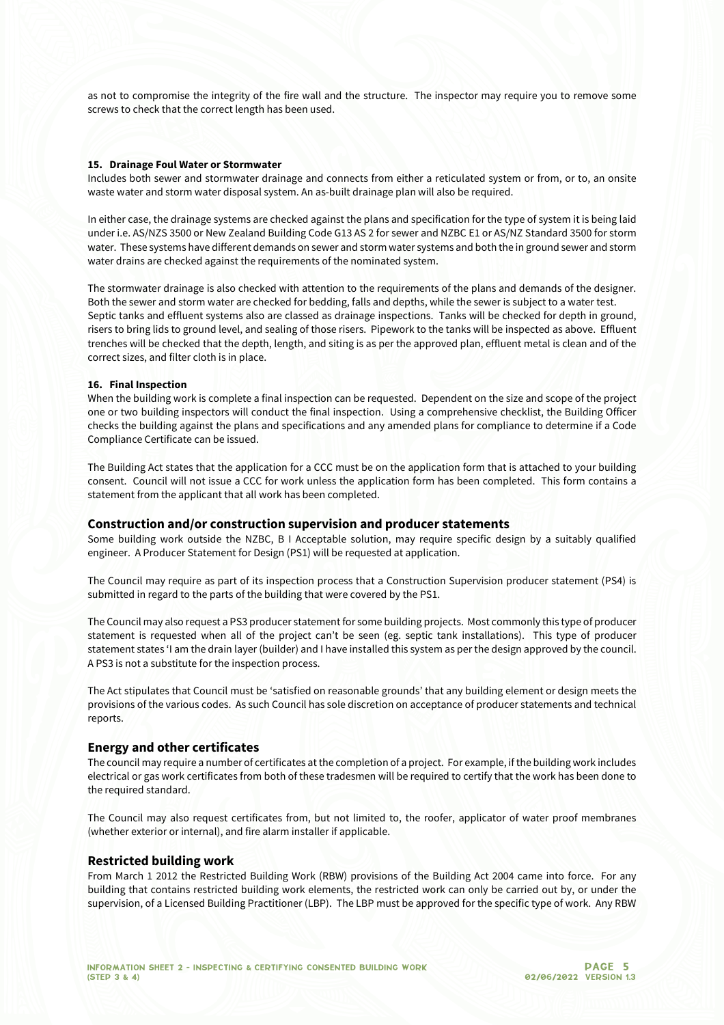as not to compromise the integrity of the fire wall and the structure. The inspector may require you to remove some screws to check that the correct length has been used.

#### **15. Drainage Foul Water or Stormwater**

Includes both sewer and stormwater drainage and connects from either a reticulated system or from, or to, an onsite waste water and storm water disposal system. An as-built drainage plan will also be required.

In either case, the drainage systems are checked against the plans and specification for the type of system it is being laid under i.e. AS/NZS 3500 or New Zealand Building Code G13 AS 2 for sewer and NZBC E1 or AS/NZ Standard 3500 for storm water. These systems have different demands on sewer and storm water systems and both the in ground sewer and storm water drains are checked against the requirements of the nominated system.

The stormwater drainage is also checked with attention to the requirements of the plans and demands of the designer. Both the sewer and storm water are checked for bedding, falls and depths, while the sewer is subject to a water test. Septic tanks and effluent systems also are classed as drainage inspections. Tanks will be checked for depth in ground, risers to bring lids to ground level, and sealing of those risers. Pipework to the tanks will be inspected as above. Effluent trenches will be checked that the depth, length, and siting is as per the approved plan, effluent metal is clean and of the correct sizes, and filter cloth is in place.

#### **16. Final Inspection**

When the building work is complete a final inspection can be requested. Dependent on the size and scope of the project one or two building inspectors will conduct the final inspection. Using a comprehensive checklist, the Building Officer checks the building against the plans and specifications and any amended plans for compliance to determine if a Code Compliance Certificate can be issued.

The Building Act states that the application for a CCC must be on the application form that is attached to your building consent. Council will not issue a CCC for work unless the application form has been completed. This form contains a statement from the applicant that all work has been completed.

#### **Construction and/or construction supervision and producer statements**

Some building work outside the NZBC, B I Acceptable solution, may require specific design by a suitably qualified engineer. A Producer Statement for Design (PS1) will be requested at application.

The Council may require as part of its inspection process that a Construction Supervision producer statement (PS4) is submitted in regard to the parts of the building that were covered by the PS1.

The Council may also request a PS3 producer statement for some building projects. Most commonly this type of producer statement is requested when all of the project can't be seen (eg. septic tank installations). This type of producer statement states 'I am the drain layer (builder) and I have installed this system as per the design approved by the council. A PS3 is not a substitute for the inspection process.

The Act stipulates that Council must be 'satisfied on reasonable grounds' that any building element or design meets the provisions of the various codes. As such Council has sole discretion on acceptance of producer statements and technical reports.

#### **Energy and other certificates**

The council may require a number of certificates at the completion of a project. For example, if the building work includes electrical or gas work certificates from both of these tradesmen will be required to certify that the work has been done to the required standard.

The Council may also request certificates from, but not limited to, the roofer, applicator of water proof membranes (whether exterior or internal), and fire alarm installer if applicable.

#### **Restricted building work**

From March 1 2012 the Restricted Building Work (RBW) provisions of the Building Act 2004 came into force. For any building that contains restricted building work elements, the restricted work can only be carried out by, or under the supervision, of a Licensed Building Practitioner (LBP). The LBP must be approved for the specific type of work. Any RBW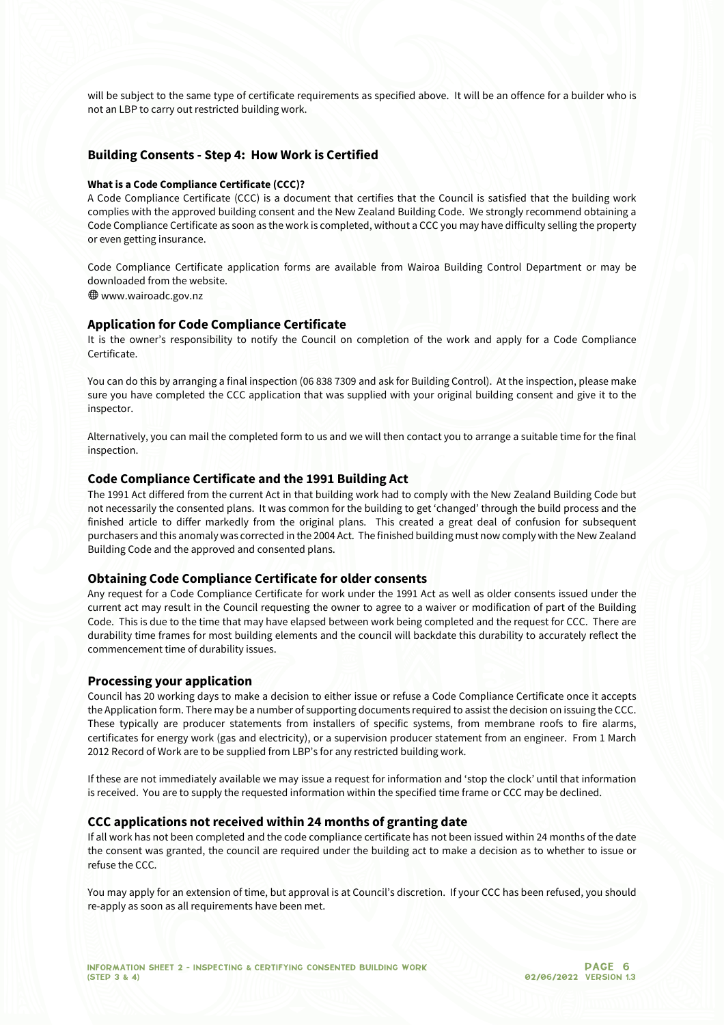will be subject to the same type of certificate requirements as specified above. It will be an offence for a builder who is not an LBP to carry out restricted building work.

#### **Building Consents - Step 4: How Work is Certified**

#### **What is a Code Compliance Certificate (CCC)?**

A Code Compliance Certificate (CCC) is a document that certifies that the Council is satisfied that the building work complies with the approved building consent and the New Zealand Building Code. We strongly recommend obtaining a Code Compliance Certificate as soon as the work is completed, without a CCC you may have difficulty selling the property or even getting insurance.

Code Compliance Certificate application forms are available from Wairoa Building Control Department or may be downloaded from the website.

Wwww.wairoadc.gov.nz

## **Application for Code Compliance Certificate**

It is the owner's responsibility to notify the Council on completion of the work and apply for a Code Compliance Certificate.

You can do this by arranging a final inspection (06 838 7309 and ask for Building Control). At the inspection, please make sure you have completed the CCC application that was supplied with your original building consent and give it to the inspector.

Alternatively, you can mail the completed form to us and we will then contact you to arrange a suitable time for the final inspection.

#### **Code Compliance Certificate and the 1991 Building Act**

The 1991 Act differed from the current Act in that building work had to comply with the New Zealand Building Code but not necessarily the consented plans. It was common for the building to get 'changed' through the build process and the finished article to differ markedly from the original plans. This created a great deal of confusion for subsequent purchasers and this anomaly was corrected in the 2004 Act. The finished building must now comply with the New Zealand Building Code and the approved and consented plans.

#### **Obtaining Code Compliance Certificate for older consents**

Any request for a Code Compliance Certificate for work under the 1991 Act as well as older consents issued under the current act may result in the Council requesting the owner to agree to a waiver or modification of part of the Building Code. This is due to the time that may have elapsed between work being completed and the request for CCC. There are durability time frames for most building elements and the council will backdate this durability to accurately reflect the commencement time of durability issues.

#### **Processing your application**

Council has 20 working days to make a decision to either issue or refuse a Code Compliance Certificate once it accepts the Application form. There may be a number of supporting documents required to assist the decision on issuing the CCC. These typically are producer statements from installers of specific systems, from membrane roofs to fire alarms, certificates for energy work (gas and electricity), or a supervision producer statement from an engineer. From 1 March 2012 Record of Work are to be supplied from LBP's for any restricted building work.

If these are not immediately available we may issue a request for information and 'stop the clock' until that information is received. You are to supply the requested information within the specified time frame or CCC may be declined.

#### **CCC applications not received within 24 months of granting date**

If all work has not been completed and the code compliance certificate has not been issued within 24 months of the date the consent was granted, the council are required under the building act to make a decision as to whether to issue or refuse the CCC.

You may apply for an extension of time, but approval is at Council's discretion. If your CCC has been refused, you should re-apply as soon as all requirements have been met.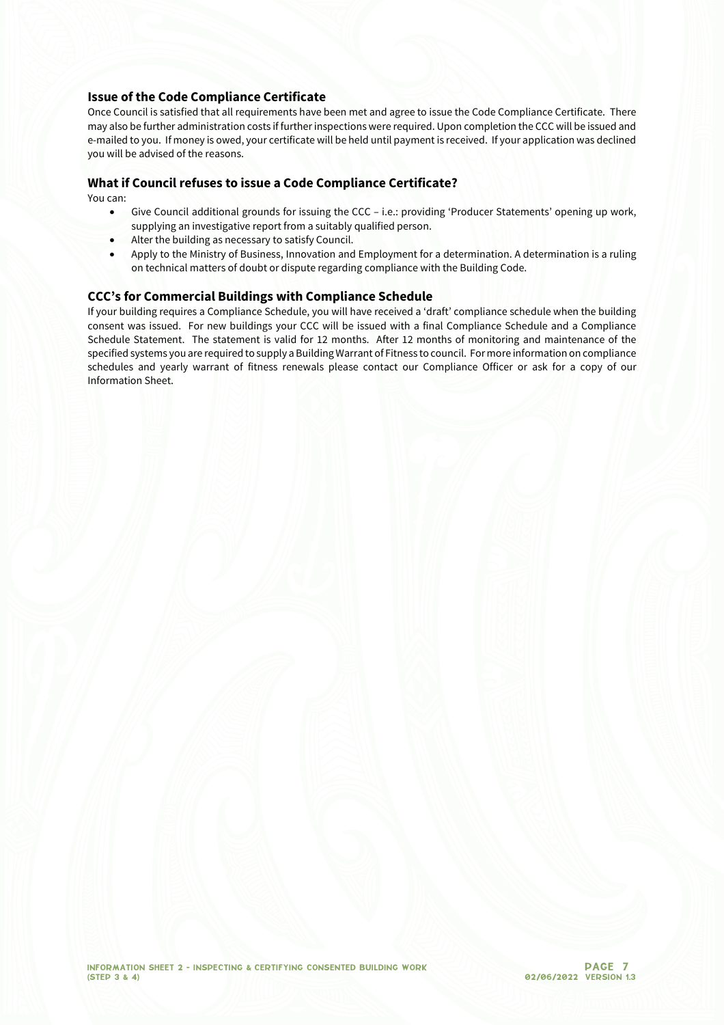#### **Issue of the Code Compliance Certificate**

Once Council is satisfied that all requirements have been met and agree to issue the Code Compliance Certificate. There may also be further administration costs if further inspections were required. Upon completion the CCC will be issued and e-mailed to you. If money is owed, your certificate will be held until payment is received. If your application was declined you will be advised of the reasons.

#### **What if Council refuses to issue a Code Compliance Certificate?**

You can:

- Give Council additional grounds for issuing the CCC i.e.: providing 'Producer Statements' opening up work, supplying an investigative report from a suitably qualified person.
- Alter the building as necessary to satisfy Council.
- Apply to the Ministry of Business, Innovation and Employment for a determination. A determination is a ruling on technical matters of doubt or dispute regarding compliance with the Building Code.

#### **CCC's for Commercial Buildings with Compliance Schedule**

If your building requires a Compliance Schedule, you will have received a 'draft' compliance schedule when the building consent was issued. For new buildings your CCC will be issued with a final Compliance Schedule and a Compliance Schedule Statement. The statement is valid for 12 months. After 12 months of monitoring and maintenance of the specified systems you are required to supply a Building Warrant of Fitness to council. For more information on compliance schedules and yearly warrant of fitness renewals please contact our Compliance Officer or ask for a copy of our Information Sheet.